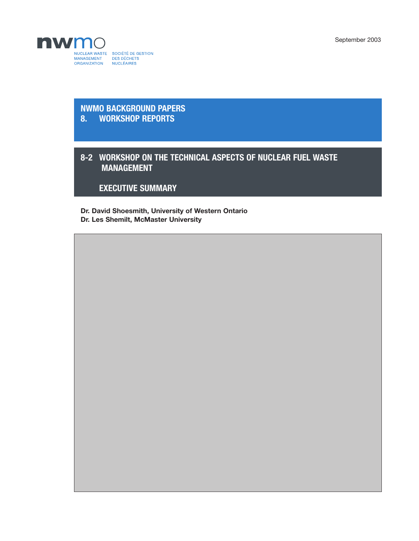September 2003



## **NWMO BACKGROUND PAPERS 8. WORKSHOP REPORTS**

## **8-2 WORKSHOP ON THE TECHNICAL ASPECTS OF NUCLEAR FUEL WASTE MANAGEMENT**

**EXECUTIVE SUMMARY**

**Dr. David Shoesmith, University of Western Ontario Dr. Les Shemilt, McMaster University**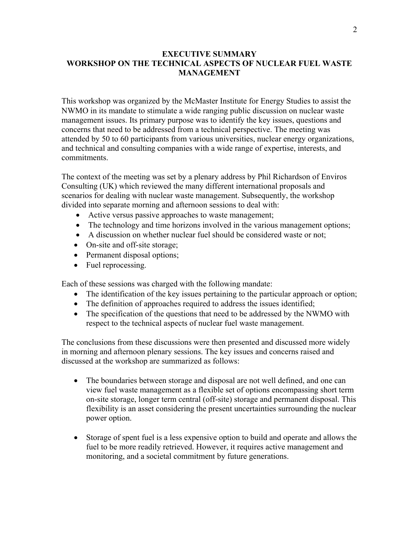## **EXECUTIVE SUMMARY WORKSHOP ON THE TECHNICAL ASPECTS OF NUCLEAR FUEL WASTE MANAGEMENT**

This workshop was organized by the McMaster Institute for Energy Studies to assist the NWMO in its mandate to stimulate a wide ranging public discussion on nuclear waste management issues. Its primary purpose was to identify the key issues, questions and concerns that need to be addressed from a technical perspective. The meeting was attended by 50 to 60 participants from various universities, nuclear energy organizations, and technical and consulting companies with a wide range of expertise, interests, and commitments.

The context of the meeting was set by a plenary address by Phil Richardson of Enviros Consulting (UK) which reviewed the many different international proposals and scenarios for dealing with nuclear waste management. Subsequently, the workshop divided into separate morning and afternoon sessions to deal with:

- Active versus passive approaches to waste management;
- The technology and time horizons involved in the various management options;
- A discussion on whether nuclear fuel should be considered waste or not;
- On-site and off-site storage;
- Permanent disposal options;
- Fuel reprocessing.

Each of these sessions was charged with the following mandate:

- The identification of the key issues pertaining to the particular approach or option;
- The definition of approaches required to address the issues identified;
- The specification of the questions that need to be addressed by the NWMO with respect to the technical aspects of nuclear fuel waste management.

The conclusions from these discussions were then presented and discussed more widely in morning and afternoon plenary sessions. The key issues and concerns raised and discussed at the workshop are summarized as follows:

- The boundaries between storage and disposal are not well defined, and one can view fuel waste management as a flexible set of options encompassing short term on-site storage, longer term central (off-site) storage and permanent disposal. This flexibility is an asset considering the present uncertainties surrounding the nuclear power option.
- Storage of spent fuel is a less expensive option to build and operate and allows the fuel to be more readily retrieved. However, it requires active management and monitoring, and a societal commitment by future generations.